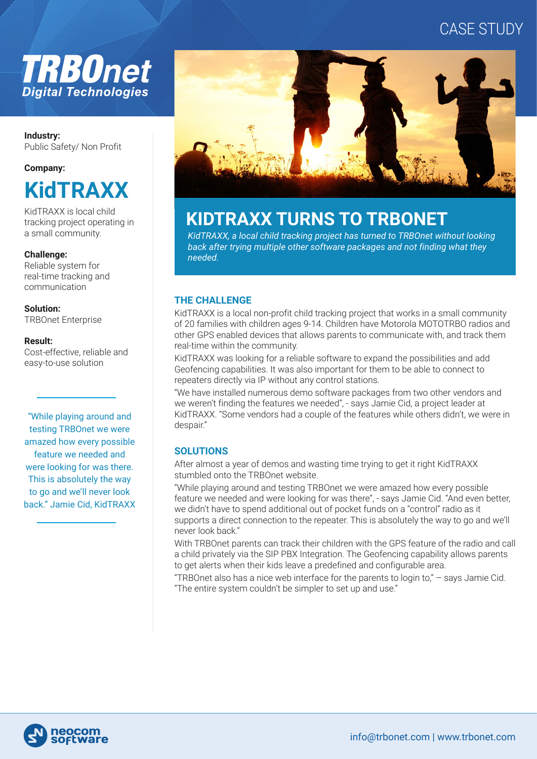# CASE STUDY



### **Industry:**  Public Safety/ Non Profit

### **Company:**



KidTRAXX is local child tracking project operating in a small community.

### **Challenge:**

Reliable system for real-time tracking and communication

#### **Solution:**

TRBOnet Enterprise

### **Result:**

Cost-effective, reliable and easy-to-use solution

"While playing around and testing TRBOnet we were amazed how every possible feature we needed and were looking for was there. This is absolutely the way to go and we'll never look back." Jamie Cid, KidTRAXX



# **KIDTRAXX TURNS TO TRBONET**

*KidTRAXX, a local child tracking project has turned to TRBOnet without looking back after trying multiple other software packages and not finding what they needed.*

## **THE CHALLENGE**

KidTRAXX is a local non-profit child tracking project that works in a small community of 20 families with children ages 9-14. Children have Motorola MOTOTRBO radios and other GPS enabled devices that allows parents to communicate with, and track them real-time within the community.

KidTRAXX was looking for a reliable software to expand the possibilities and add Geofencing capabilities. It was also important for them to be able to connect to repeaters directly via IP without any control stations.

"We have installed numerous demo software packages from two other vendors and we weren't finding the features we needed", - says Jamie Cid, a project leader at KidTRAXX. "Some vendors had a couple of the features while others didn't, we were in despair."

# **SOLUTIONS**

After almost a year of demos and wasting time trying to get it right KidTRAXX stumbled onto the TRBOnet website.

"While playing around and testing TRBOnet we were amazed how every possible feature we needed and were looking for was there", - says Jamie Cid. "And even better, we didn't have to spend additional out of pocket funds on a "control" radio as it supports a direct connection to the repeater. This is absolutely the way to go and we'll never look back."

With TRBOnet parents can track their children with the GPS feature of the radio and call a child privately via the SIP PBX Integration. The Geofencing capability allows parents to get alerts when their kids leave a predefined and configurable area.

"TRBOnet also has a nice web interface for the parents to login to,"  $-$  says Jamie Cid. "The entire system couldn't be simpler to set up and use."